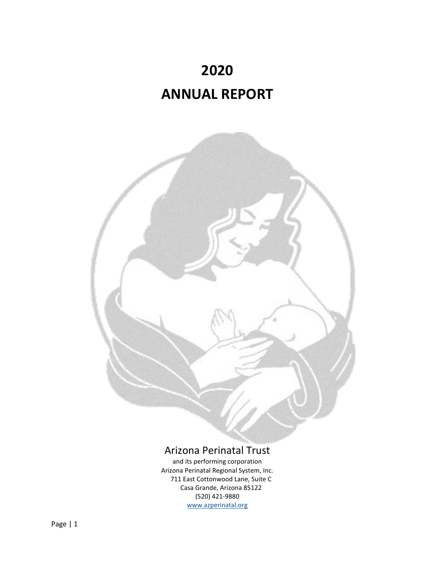



# Arizona Perinatal Trust

and its performing corporation Arizona Perinatal Regional System, Inc. 711 East Cottonwood Lane, Suite C Casa Grande, Arizona 85122 (520) 421‐9880 [www.azperinatal.org](http://www.azperinatal.org/)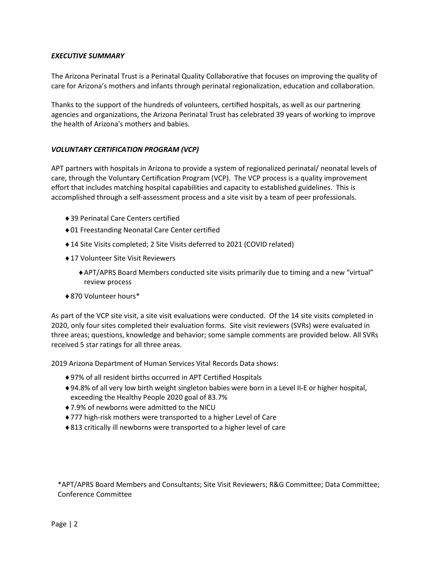### *EXECUTIVE SUMMARY*

The Arizona Perinatal Trust is a Perinatal Quality Collaborative that focuses on improving the quality of care for Arizona's mothers and infants through perinatal regionalization, education and collaboration.

Thanks to the support of the hundreds of volunteers, certified hospitals, as well as our partnering agencies and organizations, the Arizona Perinatal Trust has celebrated 39 years of working to improve the health of Arizona's mothers and babies.

### *VOLUNTARY CERTIFICATION PROGRAM (VCP)*

APT partners with hospitals in Arizona to provide a system of regionalized perinatal/ neonatal levels of care, through the Voluntary Certification Program (VCP). The VCP process is a quality improvement effort that includes matching hospital capabilities and capacity to established guidelines. This is accomplished through a self‐assessment process and a site visit by a team of peer professionals.

- ♦39 Perinatal Care Centers certified
- ♦01 Freestanding Neonatal Care Center certified
- ♦14 Site Visits completed; 2 Site Visits deferred to 2021 (COVID related)
- ♦17 Volunteer Site Visit Reviewers
	- ♦APT/APRS Board Members conducted site visits primarily due to timing and a new "virtual" review process
- ♦870 Volunteer hours\*

As part of the VCP site visit, a site visit evaluations were conducted. Of the 14 site visits completed in 2020, only four sites completed their evaluation forms. Site visit reviewers (SVRs) were evaluated in three areas; questions, knowledge and behavior; some sample comments are provided below. All SVRs received 5 star ratings for all three areas.

2019 Arizona Department of Human Services Vital Records Data shows:

- ♦97% of all resident births occurred in APT Certified Hospitals
- ♦94.8% of all very low birth weight singleton babies were born in a Level II‐E or higher hospital, exceeding the Healthy People 2020 goal of 83.7%
- ♦7.9% of newborns were admitted to the NICU
- ♦777 high‐risk mothers were transported to a higher Level of Care
- ♦813 critically ill newborns were transported to a higher level of care

\*APT/APRS Board Members and Consultants; Site Visit Reviewers; R&G Committee; Data Committee; Conference Committee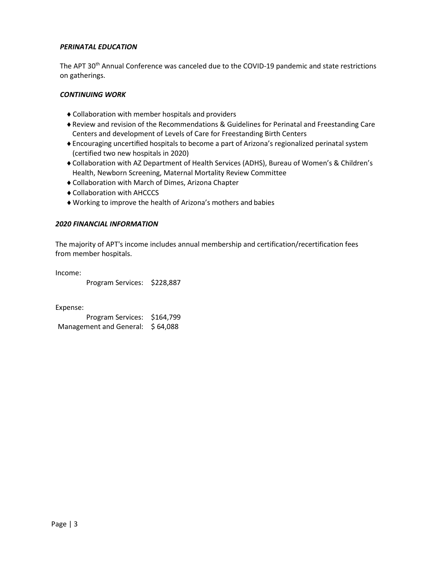### *PERINATAL EDUCATION*

The APT 30<sup>th</sup> Annual Conference was canceled due to the COVID-19 pandemic and state restrictions on gatherings.

### *CONTINUING WORK*

- ♦Collaboration with member hospitals and providers
- ♦Review and revision of the Recommendations & Guidelines for Perinatal and Freestanding Care Centers and development of Levels of Care for Freestanding Birth Centers
- ♦Encouraging uncertified hospitals to become a part of Arizona's regionalized perinatal system (certified two new hospitals in 2020)
- ♦Collaboration with AZ Department of Health Services (ADHS), Bureau of Women's & Children's Health, Newborn Screening, Maternal Mortality Review Committee
- ♦Collaboration with March of Dimes, Arizona Chapter
- ♦Collaboration with AHCCCS
- ♦Working to improve the health of Arizona's mothers and babies

### *2020 FINANCIAL INFORMATION*

The majority of APT's income includes annual membership and certification/recertification fees from member hospitals.

Income:

Program Services: \$228,887

Expense:

Program Services: \$164,799 Management and General: \$64,088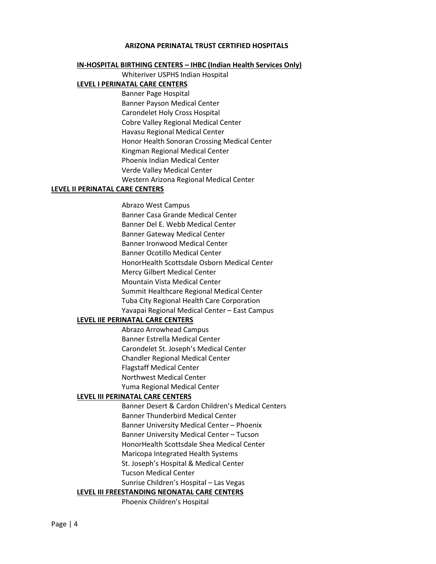### **ARIZONA PERINATAL TRUST CERTIFIED HOSPITALS**

### **IN-HOSPITAL BIRTHING CENTERS – IHBC (Indian Health Services Only)**

Whiteriver USPHS Indian Hospital

### **LEVEL I PERINATAL CARE CENTERS**

Banner Page Hospital Banner Payson Medical Center Carondelet Holy Cross Hospital Cobre Valley Regional Medical Center Havasu Regional Medical Center Honor Health Sonoran Crossing Medical Center Kingman Regional Medical Center Phoenix Indian Medical Center Verde Valley Medical Center Western Arizona Regional Medical Center

### **LEVEL II PERINATAL CARE CENTERS**

Abrazo West Campus Banner Casa Grande Medical Center Banner Del E. Webb Medical Center Banner Gateway Medical Center Banner Ironwood Medical Center Banner Ocotillo Medical Center HonorHealth Scottsdale Osborn Medical Center Mercy Gilbert Medical Center Mountain Vista Medical Center Summit Healthcare Regional Medical Center Tuba City Regional Health Care Corporation Yavapai Regional Medical Center – East Campus

### **LEVEL IIE PERINATAL CARE CENTERS**

Abrazo Arrowhead Campus Banner Estrella Medical Center Carondelet St. Joseph's Medical Center Chandler Regional Medical Center Flagstaff Medical Center Northwest Medical Center Yuma Regional Medical Center

### **LEVEL III PERINATAL CARE CENTERS**

Banner Desert & Cardon Children's Medical Centers Banner Thunderbird Medical Center Banner University Medical Center – Phoenix Banner University Medical Center – Tucson HonorHealth Scottsdale Shea Medical Center Maricopa Integrated Health Systems St. Joseph's Hospital & Medical Center Tucson Medical Center Sunrise Children's Hospital – Las Vegas

# **LEVEL III FREESTANDING NEONATAL CARE CENTERS**

Phoenix Children's Hospital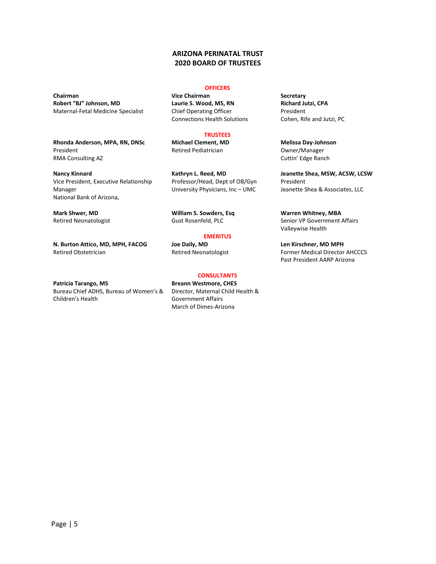### **ARIZONA PERINATAL TRUST 2020 BOARD OF TRUSTEES**

**Chairman Vice Chairman Secretary Robert "BJ" Johnson, MD** Maternal-Fetal Medicine Specialist

**Rhonda Anderson, MPA, RN, DNSc** President RMA Consulting AZ

**Nancy Kinnard** Vice President, Executive Relationship Manager National Bank of Arizona,

**Mark Shwer, MD** Retired Neonatologist

**N. Burton Attico, MD, MPH, FACOG** Retired Obstetrician

**Patricia Tarango, MS** Bureau Chief ADHS, Bureau of Women's & Children's Health

### **OFFICERS**

**Laurie S. Wood, MS, RN** Chief Operating Officer Connections Health Solutions

### **TRUSTEES**

**Michael Clement, MD** Retired Pediatrician

**Kathryn L. Reed, MD** Professor/Head, Dept of OB/Gyn University Physicians, Inc – UMC

**William S. Sowders, Esq** Gust Rosenfeld, PLC

## **EMERITUS**

**Joe Daily, MD** Retired Neonatologist

### **CONSULTANTS**

**Breann Westmore, CHES** Director, Maternal Child Health & Government Affairs March of Dimes-Arizona

**Richard Jutzi, CPA** President Cohen, Rife and Jutzi, PC

**Melissa Day-Johnson** Owner/Manager Cuttin' Edge Ranch

**Jeanette Shea, MSW, ACSW, LCSW** President Jeanette Shea & Associates, LLC

**Warren Whitney, MBA** Senior VP Government Affairs Valleywise Health

**Len Kirschner, MD MPH** Former Medical Director AHCCCS Past President AARP Arizona